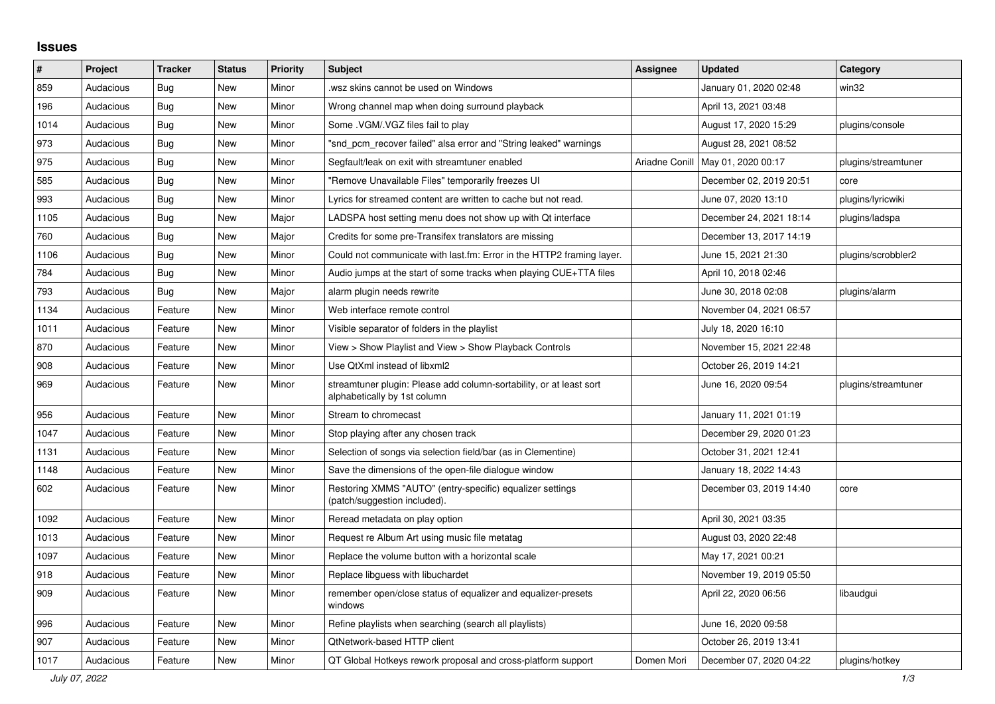## **Issues**

| ∦    | Project   | <b>Tracker</b> | <b>Status</b> | <b>Priority</b> | <b>Subject</b>                                                                                      | <b>Assignee</b> | <b>Updated</b>          | Category            |
|------|-----------|----------------|---------------|-----------------|-----------------------------------------------------------------------------------------------------|-----------------|-------------------------|---------------------|
| 859  | Audacious | Bug            | <b>New</b>    | Minor           | wsz skins cannot be used on Windows.                                                                |                 | January 01, 2020 02:48  | win32               |
| 196  | Audacious | Bug            | <b>New</b>    | Minor           | Wrong channel map when doing surround playback                                                      |                 | April 13, 2021 03:48    |                     |
| 1014 | Audacious | <b>Bug</b>     | <b>New</b>    | Minor           | Some .VGM/.VGZ files fail to play                                                                   |                 | August 17, 2020 15:29   | plugins/console     |
| 973  | Audacious | Bug            | New           | Minor           | "snd pcm recover failed" alsa error and "String leaked" warnings                                    |                 | August 28, 2021 08:52   |                     |
| 975  | Audacious | Bug            | <b>New</b>    | Minor           | Segfault/leak on exit with streamtuner enabled                                                      | Ariadne Conill  | May 01, 2020 00:17      | plugins/streamtuner |
| 585  | Audacious | Bug            | <b>New</b>    | Minor           | "Remove Unavailable Files" temporarily freezes UI                                                   |                 | December 02, 2019 20:51 | core                |
| 993  | Audacious | Bug            | <b>New</b>    | Minor           | Lyrics for streamed content are written to cache but not read.                                      |                 | June 07, 2020 13:10     | plugins/lyricwiki   |
| 1105 | Audacious | <b>Bug</b>     | <b>New</b>    | Major           | LADSPA host setting menu does not show up with Qt interface                                         |                 | December 24, 2021 18:14 | plugins/ladspa      |
| 760  | Audacious | Bug            | <b>New</b>    | Major           | Credits for some pre-Transifex translators are missing                                              |                 | December 13, 2017 14:19 |                     |
| 1106 | Audacious | <b>Bug</b>     | <b>New</b>    | Minor           | Could not communicate with last.fm: Error in the HTTP2 framing layer.                               |                 | June 15, 2021 21:30     | plugins/scrobbler2  |
| 784  | Audacious | <b>Bug</b>     | <b>New</b>    | Minor           | Audio jumps at the start of some tracks when playing CUE+TTA files                                  |                 | April 10, 2018 02:46    |                     |
| 793  | Audacious | <b>Bug</b>     | <b>New</b>    | Major           | alarm plugin needs rewrite                                                                          |                 | June 30, 2018 02:08     | plugins/alarm       |
| 1134 | Audacious | Feature        | <b>New</b>    | Minor           | Web interface remote control                                                                        |                 | November 04, 2021 06:57 |                     |
| 1011 | Audacious | Feature        | <b>New</b>    | Minor           | Visible separator of folders in the playlist                                                        |                 | July 18, 2020 16:10     |                     |
| 870  | Audacious | Feature        | New           | Minor           | View > Show Playlist and View > Show Playback Controls                                              |                 | November 15, 2021 22:48 |                     |
| 908  | Audacious | Feature        | <b>New</b>    | Minor           | Use QtXml instead of libxml2                                                                        |                 | October 26, 2019 14:21  |                     |
| 969  | Audacious | Feature        | New           | Minor           | streamtuner plugin: Please add column-sortability, or at least sort<br>alphabetically by 1st column |                 | June 16, 2020 09:54     | plugins/streamtuner |
| 956  | Audacious | Feature        | <b>New</b>    | Minor           | Stream to chromecast                                                                                |                 | January 11, 2021 01:19  |                     |
| 1047 | Audacious | Feature        | <b>New</b>    | Minor           | Stop playing after any chosen track                                                                 |                 | December 29, 2020 01:23 |                     |
| 1131 | Audacious | Feature        | <b>New</b>    | Minor           | Selection of songs via selection field/bar (as in Clementine)                                       |                 | October 31, 2021 12:41  |                     |
| 1148 | Audacious | Feature        | <b>New</b>    | Minor           | Save the dimensions of the open-file dialogue window                                                |                 | January 18, 2022 14:43  |                     |
| 602  | Audacious | Feature        | New           | Minor           | Restoring XMMS "AUTO" (entry-specific) equalizer settings<br>(patch/suggestion included).           |                 | December 03, 2019 14:40 | core                |
| 1092 | Audacious | Feature        | New           | Minor           | Reread metadata on play option                                                                      |                 | April 30, 2021 03:35    |                     |
| 1013 | Audacious | Feature        | <b>New</b>    | Minor           | Request re Album Art using music file metatag                                                       |                 | August 03, 2020 22:48   |                     |
| 1097 | Audacious | Feature        | <b>New</b>    | Minor           | Replace the volume button with a horizontal scale                                                   |                 | May 17, 2021 00:21      |                     |
| 918  | Audacious | Feature        | New           | Minor           | Replace libguess with libuchardet                                                                   |                 | November 19, 2019 05:50 |                     |
| 909  | Audacious | Feature        | <b>New</b>    | Minor           | remember open/close status of equalizer and equalizer-presets<br>windows                            |                 | April 22, 2020 06:56    | libaudgui           |
| 996  | Audacious | Feature        | New           | Minor           | Refine playlists when searching (search all playlists)                                              |                 | June 16, 2020 09:58     |                     |
| 907  | Audacious | Feature        | <b>New</b>    | Minor           | <b>QtNetwork-based HTTP client</b>                                                                  |                 | October 26, 2019 13:41  |                     |
| 1017 | Audacious | Feature        | <b>New</b>    | Minor           | QT Global Hotkeys rework proposal and cross-platform support                                        | Domen Mori      | December 07, 2020 04:22 | plugins/hotkey      |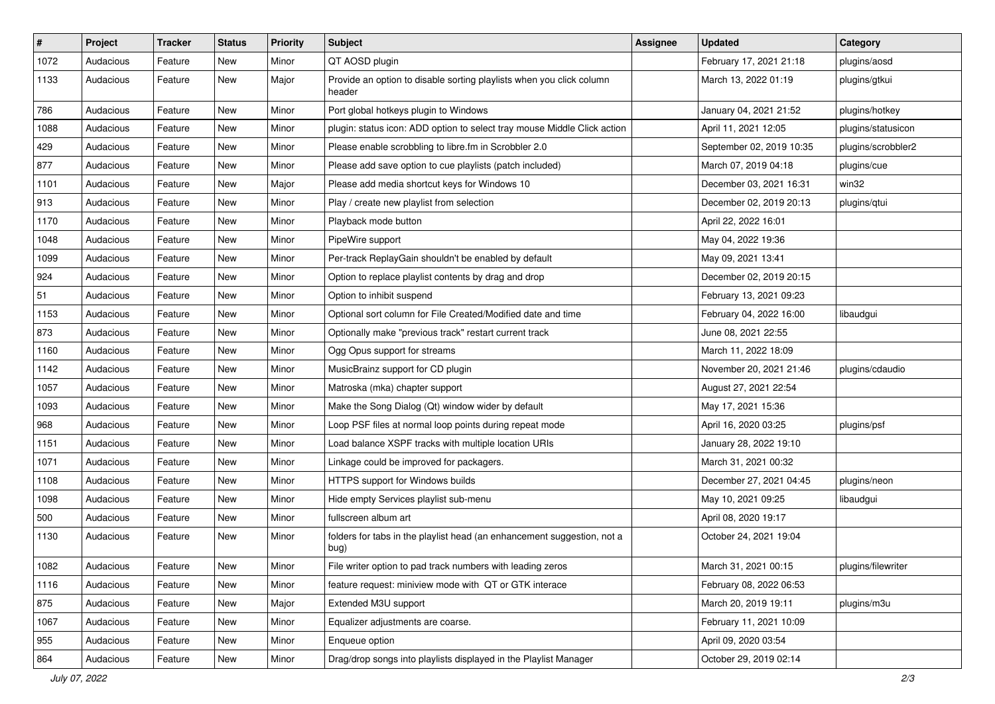| $\vert$ # | Project   | <b>Tracker</b> | <b>Status</b> | <b>Priority</b> | Subject                                                                         | <b>Assignee</b> | <b>Updated</b>           | Category           |
|-----------|-----------|----------------|---------------|-----------------|---------------------------------------------------------------------------------|-----------------|--------------------------|--------------------|
| 1072      | Audacious | Feature        | New           | Minor           | QT AOSD plugin                                                                  |                 | February 17, 2021 21:18  | plugins/aosd       |
| 1133      | Audacious | Feature        | New           | Major           | Provide an option to disable sorting playlists when you click column<br>header  |                 | March 13, 2022 01:19     | plugins/gtkui      |
| 786       | Audacious | Feature        | New           | Minor           | Port global hotkeys plugin to Windows                                           |                 | January 04, 2021 21:52   | plugins/hotkey     |
| 1088      | Audacious | Feature        | New           | Minor           | plugin: status icon: ADD option to select tray mouse Middle Click action        |                 | April 11, 2021 12:05     | plugins/statusicon |
| 429       | Audacious | Feature        | New           | Minor           | Please enable scrobbling to libre.fm in Scrobbler 2.0                           |                 | September 02, 2019 10:35 | plugins/scrobbler2 |
| 877       | Audacious | Feature        | New           | Minor           | Please add save option to cue playlists (patch included)                        |                 | March 07, 2019 04:18     | plugins/cue        |
| 1101      | Audacious | Feature        | New           | Major           | Please add media shortcut keys for Windows 10                                   |                 | December 03, 2021 16:31  | win32              |
| 913       | Audacious | Feature        | New           | Minor           | Play / create new playlist from selection                                       |                 | December 02, 2019 20:13  | plugins/qtui       |
| 1170      | Audacious | Feature        | New           | Minor           | Playback mode button                                                            |                 | April 22, 2022 16:01     |                    |
| 1048      | Audacious | Feature        | New           | Minor           | PipeWire support                                                                |                 | May 04, 2022 19:36       |                    |
| 1099      | Audacious | Feature        | New           | Minor           | Per-track ReplayGain shouldn't be enabled by default                            |                 | May 09, 2021 13:41       |                    |
| 924       | Audacious | Feature        | New           | Minor           | Option to replace playlist contents by drag and drop                            |                 | December 02, 2019 20:15  |                    |
| 51        | Audacious | Feature        | New           | Minor           | Option to inhibit suspend                                                       |                 | February 13, 2021 09:23  |                    |
| 1153      | Audacious | Feature        | New           | Minor           | Optional sort column for File Created/Modified date and time                    |                 | February 04, 2022 16:00  | libaudgui          |
| 873       | Audacious | Feature        | New           | Minor           | Optionally make "previous track" restart current track                          |                 | June 08, 2021 22:55      |                    |
| 1160      | Audacious | Feature        | New           | Minor           | Ogg Opus support for streams                                                    |                 | March 11, 2022 18:09     |                    |
| 1142      | Audacious | Feature        | New           | Minor           | MusicBrainz support for CD plugin                                               |                 | November 20, 2021 21:46  | plugins/cdaudio    |
| 1057      | Audacious | Feature        | New           | Minor           | Matroska (mka) chapter support                                                  |                 | August 27, 2021 22:54    |                    |
| 1093      | Audacious | Feature        | New           | Minor           | Make the Song Dialog (Qt) window wider by default                               |                 | May 17, 2021 15:36       |                    |
| 968       | Audacious | Feature        | New           | Minor           | Loop PSF files at normal loop points during repeat mode                         |                 | April 16, 2020 03:25     | plugins/psf        |
| 1151      | Audacious | Feature        | New           | Minor           | Load balance XSPF tracks with multiple location URIs                            |                 | January 28, 2022 19:10   |                    |
| 1071      | Audacious | Feature        | New           | Minor           | Linkage could be improved for packagers.                                        |                 | March 31, 2021 00:32     |                    |
| 1108      | Audacious | Feature        | New           | Minor           | HTTPS support for Windows builds                                                |                 | December 27, 2021 04:45  | plugins/neon       |
| 1098      | Audacious | Feature        | New           | Minor           | Hide empty Services playlist sub-menu                                           |                 | May 10, 2021 09:25       | libaudgui          |
| 500       | Audacious | Feature        | New           | Minor           | fullscreen album art                                                            |                 | April 08, 2020 19:17     |                    |
| 1130      | Audacious | Feature        | New           | Minor           | folders for tabs in the playlist head (an enhancement suggestion, not a<br>bug) |                 | October 24, 2021 19:04   |                    |
| 1082      | Audacious | Feature        | New           | Minor           | File writer option to pad track numbers with leading zeros                      |                 | March 31, 2021 00:15     | plugins/filewriter |
| 1116      | Audacious | Feature        | New           | Minor           | feature request: miniview mode with QT or GTK interace                          |                 | February 08, 2022 06:53  |                    |
| 875       | Audacious | Feature        | New           | Major           | Extended M3U support                                                            |                 | March 20, 2019 19:11     | plugins/m3u        |
| 1067      | Audacious | Feature        | New           | Minor           | Equalizer adjustments are coarse.                                               |                 | February 11, 2021 10:09  |                    |
| 955       | Audacious | Feature        | New           | Minor           | Enqueue option                                                                  |                 | April 09, 2020 03:54     |                    |
| 864       | Audacious | Feature        | New           | Minor           | Drag/drop songs into playlists displayed in the Playlist Manager                |                 | October 29, 2019 02:14   |                    |